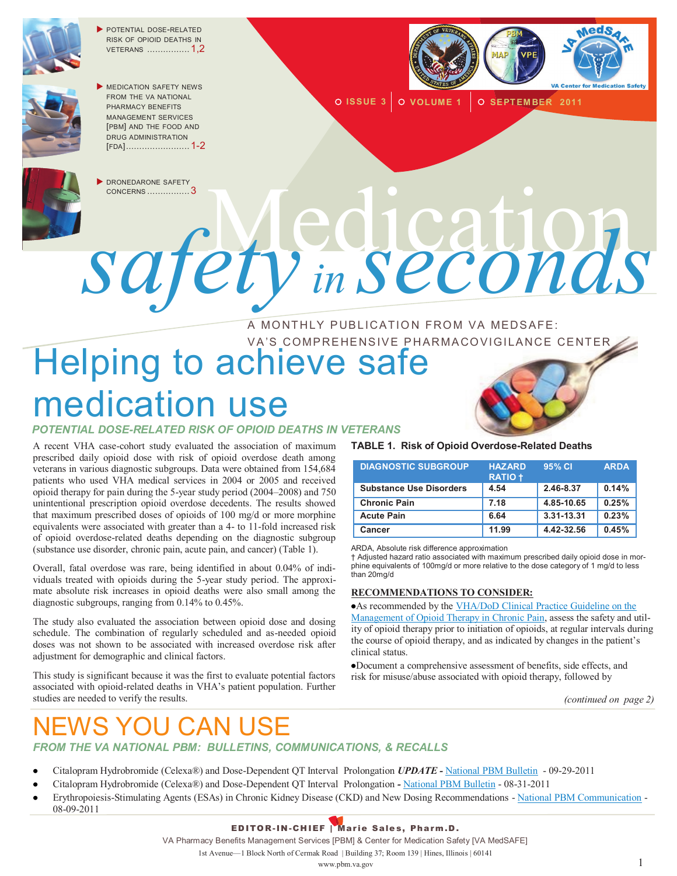

POTENTIAL DOSE-RELATED RISK OF OPIOID DEATHS IN VETERANS ................ 1,2



**MEDICATION SAFETY NEWS** FROM THE VA NATIONAL PHARMACY BENEFITS MANAGEMENT SERVICES [PBM] AND THE FOOD AND DRUG ADMINISTRATION [FDA]........................ 1-2



**O ISSUE 3** O VOLUME 1 O SEPTEMBER 2011



DRONEDARONE SAFETY

# ORONEDARONE SAFETY *safety in seconds*

#### A MONTHLY PUBLICATION FROM VA MEDSAFE: VA'S COMPREHENSIVE PHARMACOVIGILANCE CENTER

# Helping to achieve safe medication use

*POTENTIAL DOSE-RELATED RISK OF OPIOID DEATHS IN VETERANS*

A recent VHA case-cohort study evaluated the association of maximum prescribed daily opioid dose with risk of opioid overdose death among veterans in various diagnostic subgroups. Data were obtained from 154,684 patients who used VHA medical services in 2004 or 2005 and received opioid therapy for pain during the 5-year study period (2004–2008) and 750 unintentional prescription opioid overdose decedents. The results showed that maximum prescribed doses of opioids of 100 mg/d or more morphine equivalents were associated with greater than a 4- to 11-fold increased risk of opioid overdose-related deaths depending on the diagnostic subgroup (substance use disorder, chronic pain, acute pain, and cancer) (Table 1).

Overall, fatal overdose was rare, being identified in about 0.04% of individuals treated with opioids during the 5-year study period. The approximate absolute risk increases in opioid deaths were also small among the diagnostic subgroups, ranging from 0.14% to 0.45%.

The study also evaluated the association between opioid dose and dosing schedule. The combination of regularly scheduled and as-needed opioid doses was not shown to be associated with increased overdose risk after adjustment for demographic and clinical factors.

This study is significant because it was the first to evaluate potential factors associated with opioid-related deaths in VHA's patient population. Further studies are needed to verify the results.



**TABLE 1. Risk of Opioid Overdose-Related Deaths**

| <b>DIAGNOSTIC SUBGROUP</b>     | <b>HAZARD</b><br><b>RATIO +</b> | 95% CI     | <b>ARDA</b> |
|--------------------------------|---------------------------------|------------|-------------|
| <b>Substance Use Disorders</b> | 4.54                            | 2.46-8.37  | 0.14%       |
| <b>Chronic Pain</b>            | 7.18                            | 4.85-10.65 | 0.25%       |
| <b>Acute Pain</b>              | 6.64                            | 3.31-13.31 | 0.23%       |
| Cancer                         | 11.99                           | 4.42-32.56 | 0.45%       |

ARDA, Absolute risk difference approximation

† Adjusted hazard ratio associated with maximum prescribed daily opioid dose in morphine equivalents of 100mg/d or more relative to the dose category of 1 mg/d to less than 20mg/d

#### **RECOMMENDATIONS TO CONSIDER:**

As recommended by the [VHA/DoD Clinical Practice Guideline on the](http://www.healthquality.va.gov/Chronic_Opioid_Therapy_COT.asp)  [Management of Opioid Therapy in Chronic Pain,](http://www.healthquality.va.gov/Chronic_Opioid_Therapy_COT.asp) assess the safety and utility of opioid therapy prior to initiation of opioids, at regular intervals during the course of opioid therapy, and as indicated by changes in the patient's clinical status.

Document a comprehensive assessment of benefits, side effects, and risk for misuse/abuse associated with opioid therapy, followed by

*(continued on page 2)*

# DAN USE

*FROM THE VA NATIONAL PBM: BULLETINS, COMMUNICATIONS, & RECALLS* 

- Citalopram Hydrobromide (Celexa®) and Dose-Dependent QT Interval Prolongation *UPDATE -* [National PBM Bulletin](http://www.pbm.va.gov/vamedsafe/Updated%20Citalopram%20and%20Dose-Dependent%20QT%20Interval%20Prolongation_NATIONAL%20PBM%20BULLETIN_FINAL_092911.pdf) 09-29-2011
- Citalopram Hydrobromide (Celexa®) and Dose-Dependent QT Interval Prolongation *-* [National PBM Bulletin](http://www.pbm.va.gov/vamedsafe/Citalopram%20and%20Dose-Dependent%20QT%20Interval%20Prolongation_NATIONAL%20PBM%20BULLETIN_083111_FINAL.PDF) 08-31-2011
- Erythropoiesis-Stimulating Agents (ESAs) in Chronic Kidney Disease (CKD) and New Dosing Recommendations [National PBM Communication](http://www.pbm.va.gov/vamedsafe/ESAs%20in%20CKD%20and%20FDA%20Dosing%20Recommendations_NATIONAL%20PBM%20COMMUNICATION_080911_FINAL.PDF) 08-09-2011

#### EDITOR-IN -CHIEF | Mar ie Sale s, Pharm.D.

VA Pharmacy Benefits Management Services [PBM] & Center for Medication Safety [VA MedSAFE]

1st Avenue—1 Block North of Cermak Road | Building 37; Room 139 | Hines, Illinois | 60141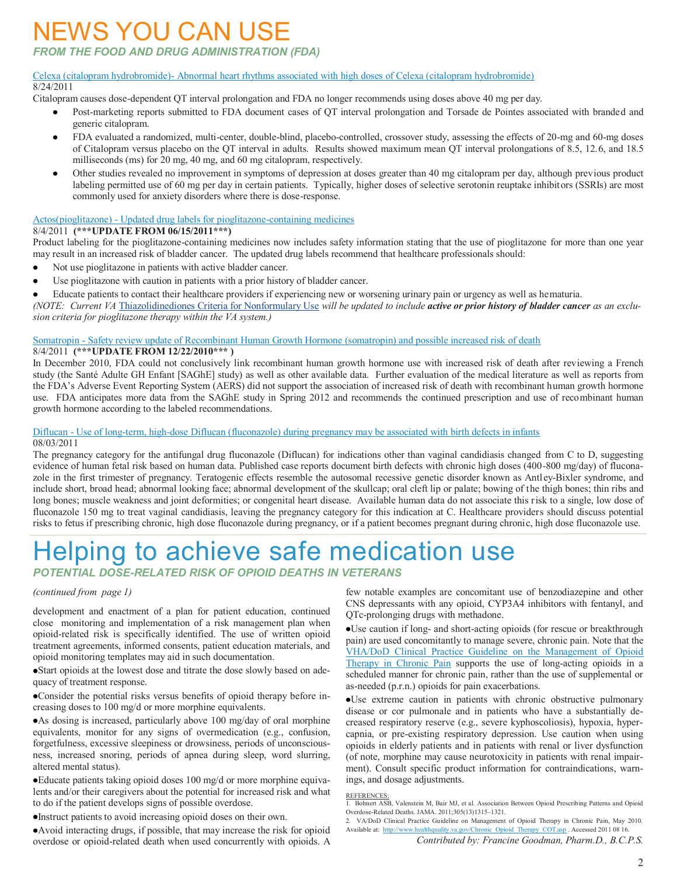## NEWS YOU CAN USE

#### *FROM THE FOOD AND DRUG ADMINISTRATION (FDA)*

#### Celexa (citalopram hydrobromide)- [Abnormal heart rhythms associated with high doses of Celexa \(citalopram hydrobromide\)](http://www.fda.gov/Drugs/DrugSafety/ucm269086.htm) 8/24/2011

Citalopram causes dose-dependent QT interval prolongation and FDA no longer recommends using doses above 40 mg per day.

- $\bullet$ Post-marketing reports submitted to FDA document cases of QT interval prolongation and Torsade de Pointes associated with branded and generic citalopram.
- FDA evaluated a randomized, multi-center, double-blind, placebo-controlled, crossover study, assessing the effects of 20-mg and 60-mg doses of Citalopram versus placebo on the QT interval in adults. Results showed maximum mean QT interval prolongations of 8.5, 12.6, and 18.5 milliseconds (ms) for 20 mg, 40 mg, and 60 mg citalopram, respectively.
- Other studies revealed no improvement in symptoms of depression at doses greater than 40 mg citalopram per day, although previous product labeling permitted use of 60 mg per day in certain patients. Typically, higher doses of selective serotonin reuptake inhibitors (SSRIs) are most commonly used for anxiety disorders where there is dose-response.

#### Actos(pioglitazone) - [Updated drug labels for pioglitazone-containing medicines](http://www.fda.gov/Drugs/DrugSafety/ucm266555.htm)

#### 8/4/2011 **(\*\*\*UPDATE FROM 06/15/2011\*\*\*)**

Product labeling for the pioglitazone-containing medicines now includes safety information stating that the use of pioglitazone for more than one year may result in an increased risk of bladder cancer. The updated drug labels recommend that healthcare professionals should:

- Not use pioglitazone in patients with active bladder cancer.  $\bullet$
- Use pioglitazone with caution in patients with a prior history of bladder cancer.
- Educate patients to contact their healthcare providers if experiencing new or worsening urinary pain or urgency as well as hematuria.

*(NOTE: Current VA* [Thiazolidinediones Criteria for Nonformulary Use](http://www.pbm.va.gov/Clinical%20Guidance/Criteria%20For%20Use/Thiazolidinediones%20Criteria%20for%20Nonformulary%20Use.doc) *will be updated to include active or prior history of bladder cancer as an exclusion criteria for pioglitazone therapy within the VA system.)*

#### Somatropin - [Safety review update of Recombinant Human Growth Hormone \(somatropin\) and possible increased risk of death](http://www.fda.gov/Drugs/DrugSafety/ucm265865.htm)

8/4/2011 **(\*\*\*UPDATE FROM 12/22/2010\*\*\* )**

In December 2010, FDA could not conclusively link recombinant human growth hormone use with increased risk of death after reviewing a French study (the Santé Adulte GH Enfant [SAGhE] study) as well as other available data. Further evaluation of the medical literature as well as reports from the FDA's Adverse Event Reporting System (AERS) did not support the association of increased risk of death with recombinant human growth hormone use. FDA anticipates more data from the SAGhE study in Spring 2012 and recommends the continued prescription and use of recombinant human growth hormone according to the labeled recommendations.

#### Diflucan - [Use of long-term, high-dose Diflucan \(fluconazole\) during pregnancy may be associated with birth defects in infants](http://www.fda.gov/Drugs/DrugSafety/ucm266030.htm) 08/03/2011

The pregnancy category for the antifungal drug fluconazole (Diflucan) for indications other than vaginal candidiasis changed from C to D, suggesting evidence of human fetal risk based on human data. Published case reports document birth defects with chronic high doses (400-800 mg/day) of fluconazole in the first trimester of pregnancy. Teratogenic effects resemble the autosomal recessive genetic disorder known as Antley-Bixler syndrome, and include short, broad head; abnormal looking face; abnormal development of the skullcap; oral cleft lip or palate; bowing of the thigh bones; thin ribs and long bones; muscle weakness and joint deformities; or congenital heart disease. Available human data do not associate this risk to a single, low dose of fluconazole 150 mg to treat vaginal candidiasis, leaving the pregnancy category for this indication at C. Healthcare providers should discuss potential risks to fetus if prescribing chronic, high dose fluconazole during pregnancy, or if a patient becomes pregnant during chronic, high dose fluconazole use.

# Helping to achieve safe medication use

*POTENTIAL DOSE-RELATED RISK OF OPIOID DEATHS IN VETERANS*

#### *(continued from page 1)*

development and enactment of a plan for patient education, continued close monitoring and implementation of a risk management plan when opioid-related risk is specifically identified. The use of written opioid treatment agreements, informed consents, patient education materials, and opioid monitoring templates may aid in such documentation.

Start opioids at the lowest dose and titrate the dose slowly based on adequacy of treatment response.

Consider the potential risks versus benefits of opioid therapy before increasing doses to 100 mg/d or more morphine equivalents.

As dosing is increased, particularly above 100 mg/day of oral morphine equivalents, monitor for any signs of overmedication (e.g., confusion, forgetfulness, excessive sleepiness or drowsiness, periods of unconsciousness, increased snoring, periods of apnea during sleep, word slurring, altered mental status).

Educate patients taking opioid doses 100 mg/d or more morphine equivalents and/or their caregivers about the potential for increased risk and what to do if the patient develops signs of possible overdose.

Instruct patients to avoid increasing opioid doses on their own.

Avoid interacting drugs, if possible, that may increase the risk for opioid overdose or opioid-related death when used concurrently with opioids. A few notable examples are concomitant use of benzodiazepine and other CNS depressants with any opioid, CYP3A4 inhibitors with fentanyl, and QTc-prolonging drugs with methadone.

Use caution if long- and short-acting opioids (for rescue or breakthrough pain) are used concomitantly to manage severe, chronic pain. Note that the [VHA/DoD Clinical Practice Guideline on the Management of Opioid](http://www.healthquality.va.gov/Chronic_Opioid_Therapy_COT.asp)  [Therapy in Chronic Pain](http://www.healthquality.va.gov/Chronic_Opioid_Therapy_COT.asp) supports the use of long-acting opioids in a scheduled manner for chronic pain, rather than the use of supplemental or as-needed (p.r.n.) opioids for pain exacerbations.

Use extreme caution in patients with chronic obstructive pulmonary disease or cor pulmonale and in patients who have a substantially decreased respiratory reserve (e.g., severe kyphoscoliosis), hypoxia, hypercapnia, or pre-existing respiratory depression. Use caution when using opioids in elderly patients and in patients with renal or liver dysfunction (of note, morphine may cause neurotoxicity in patients with renal impairment). Consult specific product information for contraindications, warnings, and dosage adjustments.

REFERENCES: 1. Bohnert ASB, Valenstein M, Bair MJ, et al. Association Between Opioid Prescribing Patterns and Opioid Overdose-Related Deaths. JAMA. 2011;305(13)1315–1321.

<sup>2.</sup> VA/DoD Clinical Practice Guideline on Management of Opioid Therapy in Chronic Pain, May 2010. Available at: [http://www.healthquality.va.gov/Chronic\\_Opioid\\_Therapy\\_COT.asp](http://www.healthquality.va.gov/Chronic_Opioid_Therapy_COT.asp) . Accessed 2011 08 16.

*Contributed by: Francine Goodman, Pharm.D., B.C.P.S.*